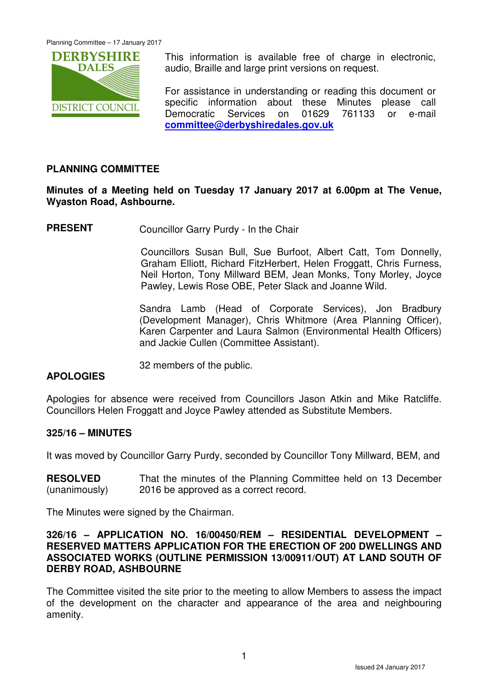

This information is available free of charge in electronic, audio, Braille and large print versions on request.

For assistance in understanding or reading this document or specific information about these Minutes please call Democratic Services on 01629 761133 or e-mail **committee@derbyshiredales.gov.uk**

## **PLANNING COMMITTEE**

## **Minutes of a Meeting held on Tuesday 17 January 2017 at 6.00pm at The Venue, Wyaston Road, Ashbourne.**

**PRESENT** Councillor Garry Purdy - In the Chair

 Councillors Susan Bull, Sue Burfoot, Albert Catt, Tom Donnelly, Graham Elliott, Richard FitzHerbert, Helen Froggatt, Chris Furness, Neil Horton, Tony Millward BEM, Jean Monks, Tony Morley, Joyce Pawley, Lewis Rose OBE, Peter Slack and Joanne Wild.

Sandra Lamb (Head of Corporate Services), Jon Bradbury (Development Manager), Chris Whitmore (Area Planning Officer), Karen Carpenter and Laura Salmon (Environmental Health Officers) and Jackie Cullen (Committee Assistant).

32 members of the public.

## **APOLOGIES**

Apologies for absence were received from Councillors Jason Atkin and Mike Ratcliffe. Councillors Helen Froggatt and Joyce Pawley attended as Substitute Members.

## **325/16 – MINUTES**

It was moved by Councillor Garry Purdy, seconded by Councillor Tony Millward, BEM, and

**RESOLVED** (unanimously) That the minutes of the Planning Committee held on 13 December 2016 be approved as a correct record.

The Minutes were signed by the Chairman.

#### **326/16 – APPLICATION NO. 16/00450/REM – RESIDENTIAL DEVELOPMENT – RESERVED MATTERS APPLICATION FOR THE ERECTION OF 200 DWELLINGS AND ASSOCIATED WORKS (OUTLINE PERMISSION 13/00911/OUT) AT LAND SOUTH OF DERBY ROAD, ASHBOURNE**

The Committee visited the site prior to the meeting to allow Members to assess the impact of the development on the character and appearance of the area and neighbouring amenity.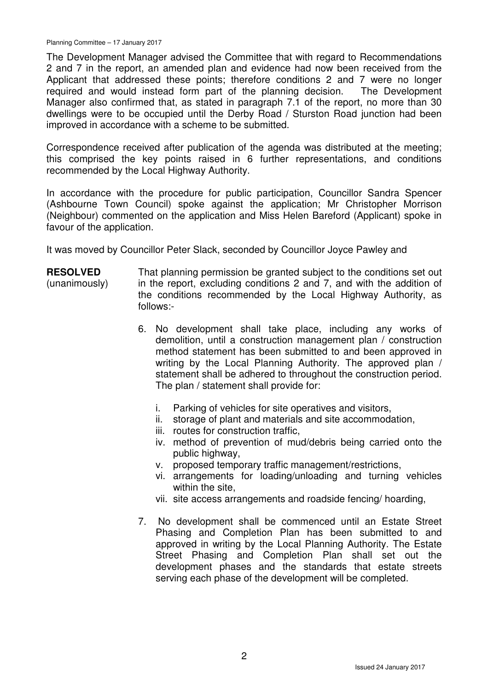The Development Manager advised the Committee that with regard to Recommendations 2 and 7 in the report, an amended plan and evidence had now been received from the Applicant that addressed these points; therefore conditions 2 and 7 were no longer required and would instead form part of the planning decision. The Development Manager also confirmed that, as stated in paragraph 7.1 of the report, no more than 30 dwellings were to be occupied until the Derby Road / Sturston Road junction had been improved in accordance with a scheme to be submitted.

Correspondence received after publication of the agenda was distributed at the meeting; this comprised the key points raised in 6 further representations, and conditions recommended by the Local Highway Authority.

In accordance with the procedure for public participation, Councillor Sandra Spencer (Ashbourne Town Council) spoke against the application; Mr Christopher Morrison (Neighbour) commented on the application and Miss Helen Bareford (Applicant) spoke in favour of the application.

It was moved by Councillor Peter Slack, seconded by Councillor Joyce Pawley and

- **RESOLVED** (unanimously) That planning permission be granted subject to the conditions set out in the report, excluding conditions 2 and 7, and with the addition of the conditions recommended by the Local Highway Authority, as follows:-
	- 6. No development shall take place, including any works of demolition, until a construction management plan / construction method statement has been submitted to and been approved in writing by the Local Planning Authority. The approved plan / statement shall be adhered to throughout the construction period. The plan / statement shall provide for:
		- i. Parking of vehicles for site operatives and visitors,
		- ii. storage of plant and materials and site accommodation,
		- iii. routes for construction traffic,
		- iv. method of prevention of mud/debris being carried onto the public highway,
		- v. proposed temporary traffic management/restrictions,
		- vi. arrangements for loading/unloading and turning vehicles within the site,
		- vii. site access arrangements and roadside fencing/ hoarding,
	- 7. No development shall be commenced until an Estate Street Phasing and Completion Plan has been submitted to and approved in writing by the Local Planning Authority. The Estate Street Phasing and Completion Plan shall set out the development phases and the standards that estate streets serving each phase of the development will be completed.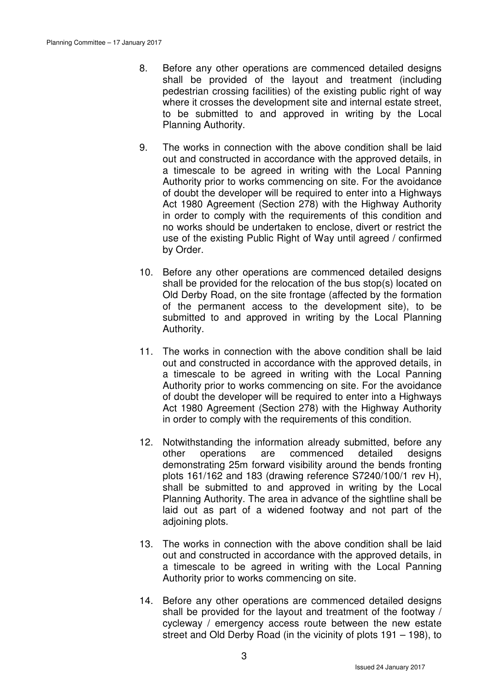- 8. Before any other operations are commenced detailed designs shall be provided of the layout and treatment (including pedestrian crossing facilities) of the existing public right of way where it crosses the development site and internal estate street, to be submitted to and approved in writing by the Local Planning Authority.
- 9. The works in connection with the above condition shall be laid out and constructed in accordance with the approved details, in a timescale to be agreed in writing with the Local Panning Authority prior to works commencing on site. For the avoidance of doubt the developer will be required to enter into a Highways Act 1980 Agreement (Section 278) with the Highway Authority in order to comply with the requirements of this condition and no works should be undertaken to enclose, divert or restrict the use of the existing Public Right of Way until agreed / confirmed by Order.
- 10. Before any other operations are commenced detailed designs shall be provided for the relocation of the bus stop(s) located on Old Derby Road, on the site frontage (affected by the formation of the permanent access to the development site), to be submitted to and approved in writing by the Local Planning Authority.
- 11. The works in connection with the above condition shall be laid out and constructed in accordance with the approved details, in a timescale to be agreed in writing with the Local Panning Authority prior to works commencing on site. For the avoidance of doubt the developer will be required to enter into a Highways Act 1980 Agreement (Section 278) with the Highway Authority in order to comply with the requirements of this condition.
- 12. Notwithstanding the information already submitted, before any other operations are commenced detailed designs demonstrating 25m forward visibility around the bends fronting plots 161/162 and 183 (drawing reference S7240/100/1 rev H), shall be submitted to and approved in writing by the Local Planning Authority. The area in advance of the sightline shall be laid out as part of a widened footway and not part of the adjoining plots.
- 13. The works in connection with the above condition shall be laid out and constructed in accordance with the approved details, in a timescale to be agreed in writing with the Local Panning Authority prior to works commencing on site.
- 14. Before any other operations are commenced detailed designs shall be provided for the layout and treatment of the footway / cycleway / emergency access route between the new estate street and Old Derby Road (in the vicinity of plots 191 – 198), to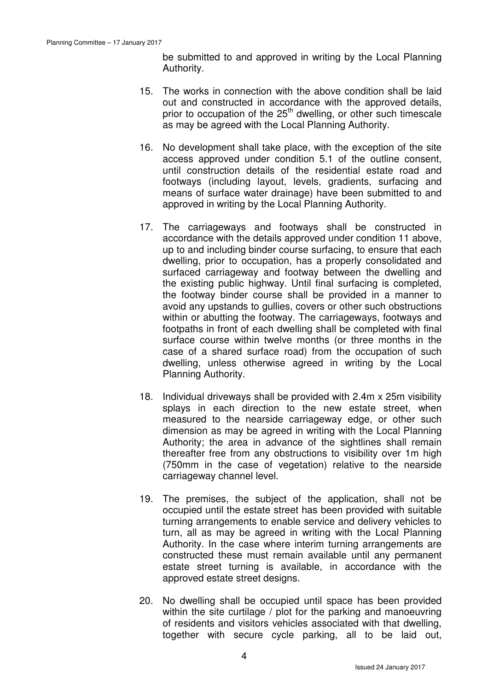be submitted to and approved in writing by the Local Planning Authority.

- 15. The works in connection with the above condition shall be laid out and constructed in accordance with the approved details, prior to occupation of the  $25<sup>th</sup>$  dwelling, or other such timescale as may be agreed with the Local Planning Authority.
- 16. No development shall take place, with the exception of the site access approved under condition 5.1 of the outline consent, until construction details of the residential estate road and footways (including layout, levels, gradients, surfacing and means of surface water drainage) have been submitted to and approved in writing by the Local Planning Authority.
- 17. The carriageways and footways shall be constructed in accordance with the details approved under condition 11 above, up to and including binder course surfacing, to ensure that each dwelling, prior to occupation, has a properly consolidated and surfaced carriageway and footway between the dwelling and the existing public highway. Until final surfacing is completed, the footway binder course shall be provided in a manner to avoid any upstands to gullies, covers or other such obstructions within or abutting the footway. The carriageways, footways and footpaths in front of each dwelling shall be completed with final surface course within twelve months (or three months in the case of a shared surface road) from the occupation of such dwelling, unless otherwise agreed in writing by the Local Planning Authority.
- 18. Individual driveways shall be provided with 2.4m x 25m visibility splays in each direction to the new estate street, when measured to the nearside carriageway edge, or other such dimension as may be agreed in writing with the Local Planning Authority; the area in advance of the sightlines shall remain thereafter free from any obstructions to visibility over 1m high (750mm in the case of vegetation) relative to the nearside carriageway channel level.
- 19. The premises, the subject of the application, shall not be occupied until the estate street has been provided with suitable turning arrangements to enable service and delivery vehicles to turn, all as may be agreed in writing with the Local Planning Authority. In the case where interim turning arrangements are constructed these must remain available until any permanent estate street turning is available, in accordance with the approved estate street designs.
- 20. No dwelling shall be occupied until space has been provided within the site curtilage / plot for the parking and manoeuvring of residents and visitors vehicles associated with that dwelling, together with secure cycle parking, all to be laid out,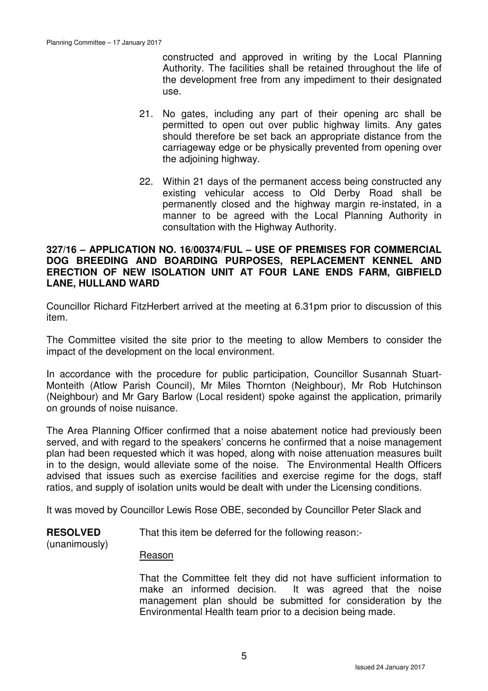constructed and approved in writing by the Local Planning Authority. The facilities shall be retained throughout the life of the development free from any impediment to their designated use.

- 21. No gates, including any part of their opening arc shall be permitted to open out over public highway limits. Any gates should therefore be set back an appropriate distance from the carriageway edge or be physically prevented from opening over the adjoining highway.
- 22. Within 21 days of the permanent access being constructed any existing vehicular access to Old Derby Road shall be permanently closed and the highway margin re-instated, in a manner to be agreed with the Local Planning Authority in consultation with the Highway Authority.

#### **327/16 – APPLICATION NO. 16/00374/FUL – USE OF PREMISES FOR COMMERCIAL DOG BREEDING AND BOARDING PURPOSES, REPLACEMENT KENNEL AND ERECTION OF NEW ISOLATION UNIT AT FOUR LANE ENDS FARM, GIBFIELD LANE, HULLAND WARD**

Councillor Richard FitzHerbert arrived at the meeting at 6.31pm prior to discussion of this item.

The Committee visited the site prior to the meeting to allow Members to consider the impact of the development on the local environment.

In accordance with the procedure for public participation, Councillor Susannah Stuart-Monteith (Atlow Parish Council), Mr Miles Thornton (Neighbour), Mr Rob Hutchinson (Neighbour) and Mr Gary Barlow (Local resident) spoke against the application, primarily on grounds of noise nuisance.

The Area Planning Officer confirmed that a noise abatement notice had previously been served, and with regard to the speakers' concerns he confirmed that a noise management plan had been requested which it was hoped, along with noise attenuation measures built in to the design, would alleviate some of the noise. The Environmental Health Officers advised that issues such as exercise facilities and exercise regime for the dogs, staff ratios, and supply of isolation units would be dealt with under the Licensing conditions.

It was moved by Councillor Lewis Rose OBE, seconded by Councillor Peter Slack and

**RESOLVED** That this item be deferred for the following reason:-

## (unanimously)

# Reason

That the Committee felt they did not have sufficient information to make an informed decision. It was agreed that the noise management plan should be submitted for consideration by the Environmental Health team prior to a decision being made.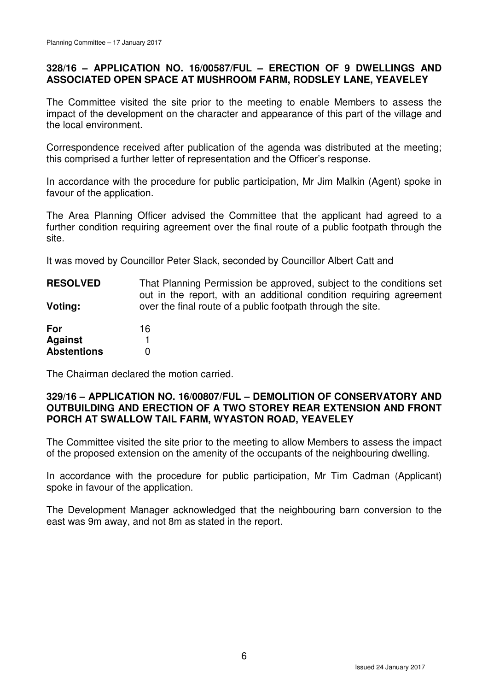## **328/16 – APPLICATION NO. 16/00587/FUL – ERECTION OF 9 DWELLINGS AND ASSOCIATED OPEN SPACE AT MUSHROOM FARM, RODSLEY LANE, YEAVELEY**

The Committee visited the site prior to the meeting to enable Members to assess the impact of the development on the character and appearance of this part of the village and the local environment.

Correspondence received after publication of the agenda was distributed at the meeting; this comprised a further letter of representation and the Officer's response.

In accordance with the procedure for public participation, Mr Jim Malkin (Agent) spoke in favour of the application.

The Area Planning Officer advised the Committee that the applicant had agreed to a further condition requiring agreement over the final route of a public footpath through the site.

It was moved by Councillor Peter Slack, seconded by Councillor Albert Catt and

**RESOLVED Voting: For**  That Planning Permission be approved, subject to the conditions set out in the report, with an additional condition requiring agreement over the final route of a public footpath through the site. 16

| .                  | . . |
|--------------------|-----|
| <b>Against</b>     |     |
| <b>Abstentions</b> |     |

The Chairman declared the motion carried.

## **329/16 – APPLICATION NO. 16/00807/FUL – DEMOLITION OF CONSERVATORY AND OUTBUILDING AND ERECTION OF A TWO STOREY REAR EXTENSION AND FRONT PORCH AT SWALLOW TAIL FARM, WYASTON ROAD, YEAVELEY**

The Committee visited the site prior to the meeting to allow Members to assess the impact of the proposed extension on the amenity of the occupants of the neighbouring dwelling.

In accordance with the procedure for public participation, Mr Tim Cadman (Applicant) spoke in favour of the application.

The Development Manager acknowledged that the neighbouring barn conversion to the east was 9m away, and not 8m as stated in the report.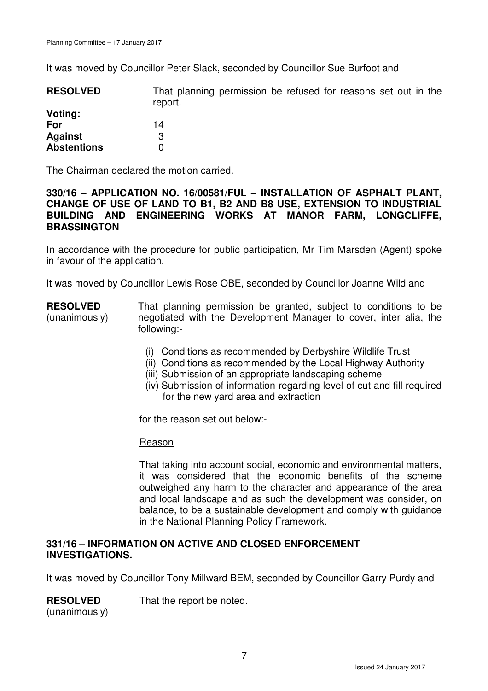It was moved by Councillor Peter Slack, seconded by Councillor Sue Burfoot and

| <b>RESOLVED</b>    | That planning permission be refused for reasons set out in the<br>report. |  |  |  |  |  |
|--------------------|---------------------------------------------------------------------------|--|--|--|--|--|
| Voting:            |                                                                           |  |  |  |  |  |
| For                | 14                                                                        |  |  |  |  |  |
| <b>Against</b>     | 3                                                                         |  |  |  |  |  |
| <b>Abstentions</b> |                                                                           |  |  |  |  |  |

The Chairman declared the motion carried.

#### **330/16 – APPLICATION NO. 16/00581/FUL – INSTALLATION OF ASPHALT PLANT, CHANGE OF USE OF LAND TO B1, B2 AND B8 USE, EXTENSION TO INDUSTRIAL BUILDING AND ENGINEERING WORKS AT MANOR FARM, LONGCLIFFE, BRASSINGTON**

In accordance with the procedure for public participation, Mr Tim Marsden (Agent) spoke in favour of the application.

It was moved by Councillor Lewis Rose OBE, seconded by Councillor Joanne Wild and

#### **RESOLVED** (unanimously) That planning permission be granted, subject to conditions to be negotiated with the Development Manager to cover, inter alia, the following:-

- (i) Conditions as recommended by Derbyshire Wildlife Trust
- (ii) Conditions as recommended by the Local Highway Authority
- (iii) Submission of an appropriate landscaping scheme
- (iv) Submission of information regarding level of cut and fill required for the new yard area and extraction

for the reason set out below:-

## **Reason**

That taking into account social, economic and environmental matters, it was considered that the economic benefits of the scheme outweighed any harm to the character and appearance of the area and local landscape and as such the development was consider, on balance, to be a sustainable development and comply with guidance in the National Planning Policy Framework.

#### **331/16 – INFORMATION ON ACTIVE AND CLOSED ENFORCEMENT INVESTIGATIONS.**

It was moved by Councillor Tony Millward BEM, seconded by Councillor Garry Purdy and

**RESOLVED** That the report be noted.

(unanimously)